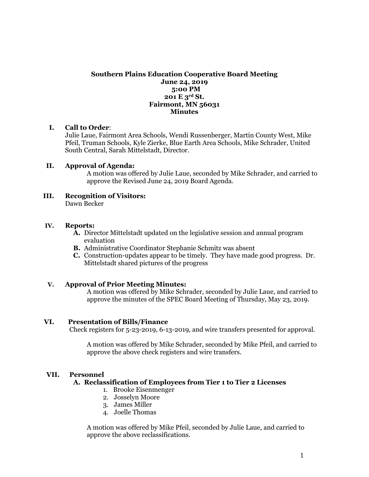# **Southern Plains Education Cooperative Board Meeting June 24, 2019 5:00 PM 201 E 3rd St. Fairmont, MN 56031 Minutes**

## **I. Call to Order**:

Julie Laue, Fairmont Area Schools, Wendi Russenberger, Martin County West, Mike Pfeil, Truman Schools, Kyle Zierke, Blue Earth Area Schools, Mike Schrader, United South Central, Sarah Mittelstadt, Director.

## **II. Approval of Agenda:**

A motion was offered by Julie Laue, seconded by Mike Schrader, and carried to approve the Revised June 24, 2019 Board Agenda.

**III. Recognition of Visitors:** Dawn Becker

## **IV. Reports:**

- **A.** Director Mittelstadt updated on the legislative session and annual program evaluation
- **B.** Administrative Coordinator Stephanie Schmitz was absent
- **C.** Construction-updates appear to be timely. They have made good progress. Dr. Mittelstadt shared pictures of the progress

## **V. Approval of Prior Meeting Minutes:**

A motion was offered by Mike Schrader, seconded by Julie Laue, and carried to approve the minutes of the SPEC Board Meeting of Thursday, May 23, 2019.

## **VI. Presentation of Bills/Finance**

Check registers for 5-23-2019, 6-13-2019, and wire transfers presented for approval.

A motion was offered by Mike Schrader, seconded by Mike Pfeil, and carried to approve the above check registers and wire transfers.

## **VII. Personnel**

## **A. Reclassification of Employees from Tier 1 to Tier 2 Licenses**

- 1. Brooke Eisenmenger
- 2. Josselyn Moore
- 3. James Miller
- 4. Joelle Thomas

A motion was offered by Mike Pfeil, seconded by Julie Laue, and carried to approve the above reclassifications.